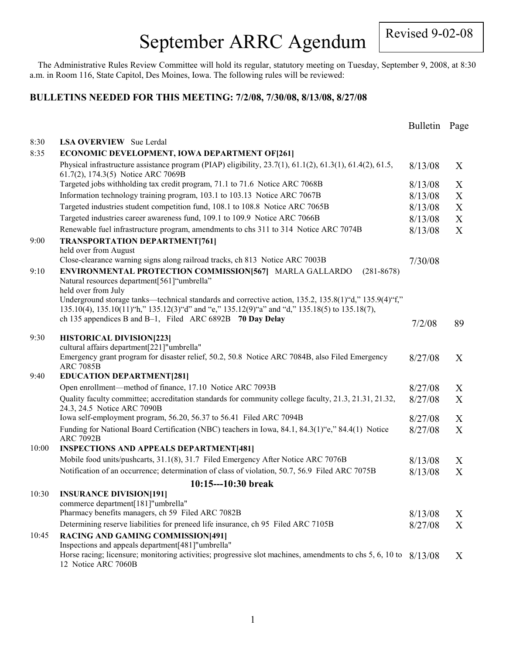# September ARRC Agendum

Revised 9-02-08

The Administrative Rules Review Committee will hold its regular, statutory meeting on Tuesday, September 9, 2008, at 8:30 a.m. in Room 116, State Capitol, Des Moines, Iowa. The following rules will be reviewed:

#### **BULLETINS NEEDED FOR THIS MEETING: 7/2/08, 7/30/08, 8/13/08, 8/27/08**

|       |                                                                                                                                                                                                           | <b>Bulletin</b> | Page |
|-------|-----------------------------------------------------------------------------------------------------------------------------------------------------------------------------------------------------------|-----------------|------|
| 8:30  | <b>LSA OVERVIEW</b> Sue Lerdal                                                                                                                                                                            |                 |      |
| 8:35  | ECONOMIC DEVELOPMENT, IOWA DEPARTMENT OF [261]                                                                                                                                                            |                 |      |
|       | Physical infrastructure assistance program (PIAP) eligibility, $23.7(1)$ , $61.1(2)$ , $61.3(1)$ , $61.4(2)$ , $61.5$ ,<br>61.7(2), 174.3(5) Notice ARC 7069B                                             | 8/13/08         | X    |
|       | Targeted jobs withholding tax credit program, 71.1 to 71.6 Notice ARC 7068B                                                                                                                               | 8/13/08         | X    |
|       | Information technology training program, 103.1 to 103.13 Notice ARC 7067B                                                                                                                                 | 8/13/08         | X    |
|       | Targeted industries student competition fund, 108.1 to 108.8 Notice ARC 7065B                                                                                                                             | 8/13/08         | X    |
|       | Targeted industries career awareness fund, 109.1 to 109.9 Notice ARC 7066B                                                                                                                                | 8/13/08         | X    |
|       | Renewable fuel infrastructure program, amendments to chs 311 to 314 Notice ARC 7074B                                                                                                                      | 8/13/08         | X    |
| 9:00  | <b>TRANSPORTATION DEPARTMENT[761]</b><br>held over from August                                                                                                                                            |                 |      |
|       | Close-clearance warning signs along railroad tracks, ch 813 Notice ARC 7003B                                                                                                                              | 7/30/08         |      |
| 9:10  | ENVIRONMENTAL PROTECTION COMMISSION[567] MARLA GALLARDO<br>$(281 - 8678)$<br>Natural resources department[561] "umbrella"<br>held over from July                                                          |                 |      |
|       | Underground storage tanks—technical standards and corrective action, 135.2, 135.8(1)"d," 135.9(4)"f,"<br>135.10(4), 135.10(11) "h," 135.12(3) "d" and "e," 135.12(9) "a" and "d," 135.18(5) to 135.18(7), |                 |      |
|       | ch 135 appendices B and B-1, Filed ARC 6892B 70 Day Delay                                                                                                                                                 | 7/2/08          | 89   |
| 9:30  | <b>HISTORICAL DIVISION[223]</b>                                                                                                                                                                           |                 |      |
|       | cultural affairs department[221]"umbrella"                                                                                                                                                                |                 |      |
|       | Emergency grant program for disaster relief, 50.2, 50.8 Notice ARC 7084B, also Filed Emergency<br><b>ARC 7085B</b>                                                                                        | 8/27/08         | X    |
| 9:40  | <b>EDUCATION DEPARTMENT[281]</b>                                                                                                                                                                          |                 |      |
|       | Open enrollment—method of finance, 17.10 Notice ARC 7093B                                                                                                                                                 | 8/27/08         | X    |
|       | Quality faculty committee; accreditation standards for community college faculty, 21.3, 21.31, 21.32,<br>24.3, 24.5 Notice ARC 7090B                                                                      | 8/27/08         | X    |
|       | Iowa self-employment program, 56.20, 56.37 to 56.41 Filed ARC 7094B                                                                                                                                       | 8/27/08         | X    |
|       | Funding for National Board Certification (NBC) teachers in Iowa, 84.1, 84.3(1)"e," 84.4(1) Notice<br><b>ARC 7092B</b>                                                                                     | 8/27/08         | X    |
| 10:00 | <b>INSPECTIONS AND APPEALS DEPARTMENT[481]</b>                                                                                                                                                            |                 |      |
|       | Mobile food units/pushcarts, 31.1(8), 31.7 Filed Emergency After Notice ARC 7076B                                                                                                                         | 8/13/08         | X    |
|       | Notification of an occurrence; determination of class of violation, 50.7, 56.9 Filed ARC 7075B                                                                                                            | 8/13/08         | X    |
|       | $10:15--10:30$ break                                                                                                                                                                                      |                 |      |
| 10:30 | <b>INSURANCE DIVISION[191]</b><br>commerce department[181]"umbrella"                                                                                                                                      |                 |      |
|       | Pharmacy benefits managers, ch 59 Filed ARC 7082B                                                                                                                                                         | 8/13/08         | X    |
|       | Determining reserve liabilities for preneed life insurance, ch 95 Filed ARC 7105B                                                                                                                         | 8/27/08         | X    |
| 10:45 | <b>RACING AND GAMING COMMISSION[491]</b>                                                                                                                                                                  |                 |      |
|       | Inspections and appeals department[481]"umbrella"<br>Horse racing; licensure; monitoring activities; progressive slot machines, amendments to chs 5, 6, 10 to                                             |                 |      |
|       | 12 Notice ARC 7060B                                                                                                                                                                                       | 8/13/08         | X    |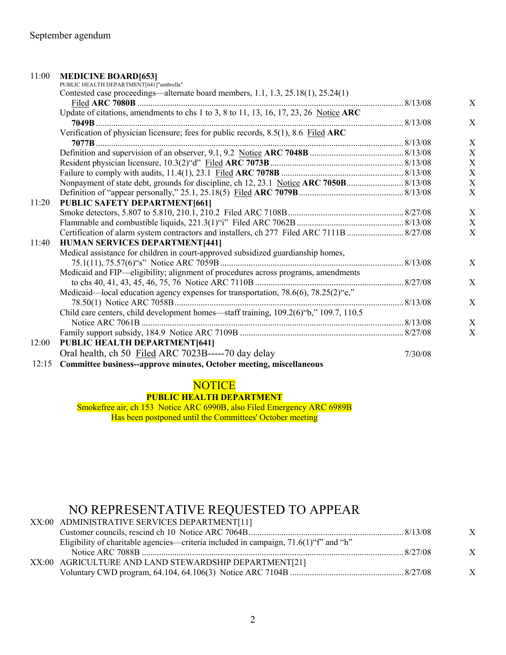### 11:00 **MEDICINE BOARD[653]**

|       | PUBLIC HEALTH DEPARTMENT[641]"umbrella"                                                   |         |   |
|-------|-------------------------------------------------------------------------------------------|---------|---|
|       | Contested case proceedings—alternate board members, 1.1, 1.3, 25.18(1), 25.24(1)          |         |   |
|       |                                                                                           |         | X |
|       | Update of citations, amendments to chs 1 to 3, 8 to 11, 13, 16, 17, 23, 26 Notice ARC     |         |   |
|       |                                                                                           |         | X |
|       | Verification of physician licensure; fees for public records, 8.5(1), 8.6 Filed ARC       |         |   |
|       |                                                                                           |         | X |
|       |                                                                                           |         | X |
|       |                                                                                           |         | X |
|       |                                                                                           |         | X |
|       |                                                                                           |         | X |
|       |                                                                                           |         | X |
| 11:20 | <b>PUBLIC SAFETY DEPARTMENT[661]</b>                                                      |         |   |
|       |                                                                                           |         | X |
|       |                                                                                           |         | X |
|       | Certification of alarm system contractors and installers, ch 277 Filed ARC 7111B  8/27/08 |         | X |
| 11:40 | HUMAN SERVICES DEPARTMENT[441]                                                            |         |   |
|       | Medical assistance for children in court-approved subsidized guardianship homes,          |         |   |
|       |                                                                                           |         | X |
|       | Medicaid and FIP—eligibility; alignment of procedures across programs, amendments         |         |   |
|       |                                                                                           |         | X |
|       | Medicaid-local education agency expenses for transportation, 78.6(6), 78.25(2)"e,"        |         |   |
|       |                                                                                           |         | X |
|       | Child care centers, child development homes—staff training, 109.2(6)"b," 109.7, 110.5     |         |   |
|       |                                                                                           |         | X |
|       |                                                                                           |         | X |
| 12:00 | <b>PUBLIC HEALTH DEPARTMENT[641]</b>                                                      |         |   |
|       | Oral health, ch 50 Filed ARC 7023B-----70 day delay                                       | 7/30/08 |   |
| 12:15 | Committee business--approve minutes, October meeting, miscellaneous                       |         |   |
|       |                                                                                           |         |   |

## **NOTICE**

#### **PUBLIC HEALTH DEPARTMENT**

Smokefree air, ch 153 Notice ARC 6990B, also Filed Emergency ARC 6989B Has been postponed until the Committees' October meeting

## NO REPRESENTATIVE REQUESTED TO APPEAR

| XX:00 ADMINISTRATIVE SERVICES DEPARTMENT[11]                                            |                  |
|-----------------------------------------------------------------------------------------|------------------|
|                                                                                         | $\boldsymbol{X}$ |
| Eligibility of charitable agencies—criteria included in campaign, $71.6(1)$ "f" and "h" |                  |
|                                                                                         | $\boldsymbol{X}$ |
| XX:00 AGRICULTURE AND LAND STEWARDSHIP DEPARTMENT[21]                                   |                  |
|                                                                                         | $\boldsymbol{X}$ |